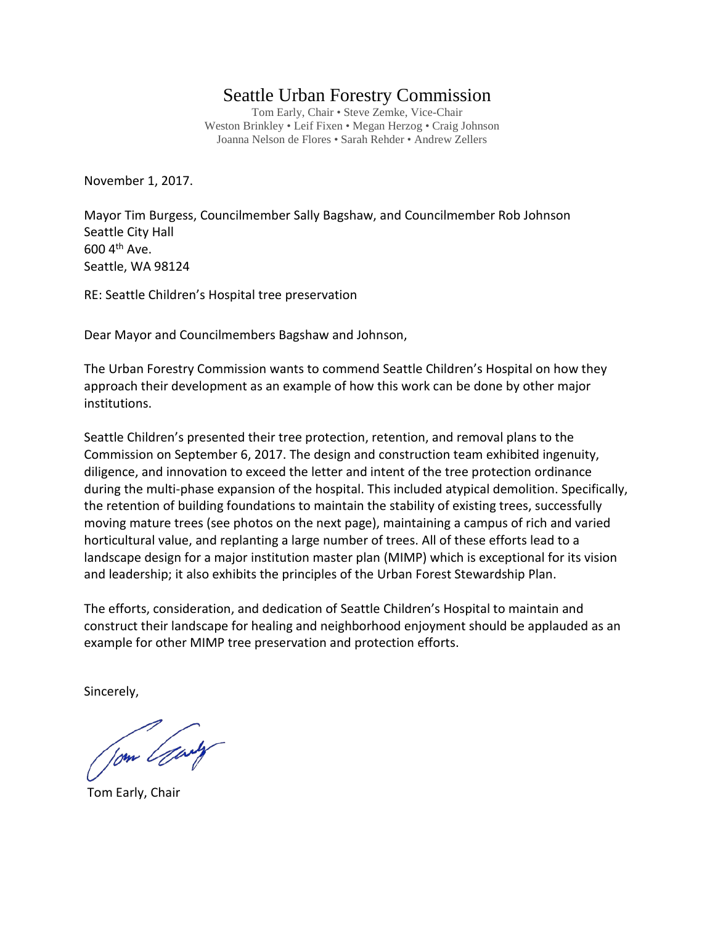## Seattle Urban Forestry Commission

Tom Early, Chair • Steve Zemke, Vice-Chair Weston Brinkley • Leif Fixen • Megan Herzog • Craig Johnson Joanna Nelson de Flores • Sarah Rehder • Andrew Zellers

November 1, 2017.

Mayor Tim Burgess, Councilmember Sally Bagshaw, and Councilmember Rob Johnson Seattle City Hall  $600$  4<sup>th</sup> Ave. Seattle, WA 98124

RE: Seattle Children's Hospital tree preservation

Dear Mayor and Councilmembers Bagshaw and Johnson,

The Urban Forestry Commission wants to commend Seattle Children's Hospital on how they approach their development as an example of how this work can be done by other major institutions.

Seattle Children's presented their tree protection, retention, and removal plans to the Commission on September 6, 2017. The design and construction team exhibited ingenuity, diligence, and innovation to exceed the letter and intent of the tree protection ordinance during the multi-phase expansion of the hospital. This included atypical demolition. Specifically, the retention of building foundations to maintain the stability of existing trees, successfully moving mature trees (see photos on the next page), maintaining a campus of rich and varied horticultural value, and replanting a large number of trees. All of these efforts lead to a landscape design for a major institution master plan (MIMP) which is exceptional for its vision and leadership; it also exhibits the principles of the Urban Forest Stewardship Plan.

The efforts, consideration, and dedication of Seattle Children's Hospital to maintain and construct their landscape for healing and neighborhood enjoyment should be applauded as an example for other MIMP tree preservation and protection efforts.

Sincerely,

Jom Gary

Tom Early, Chair